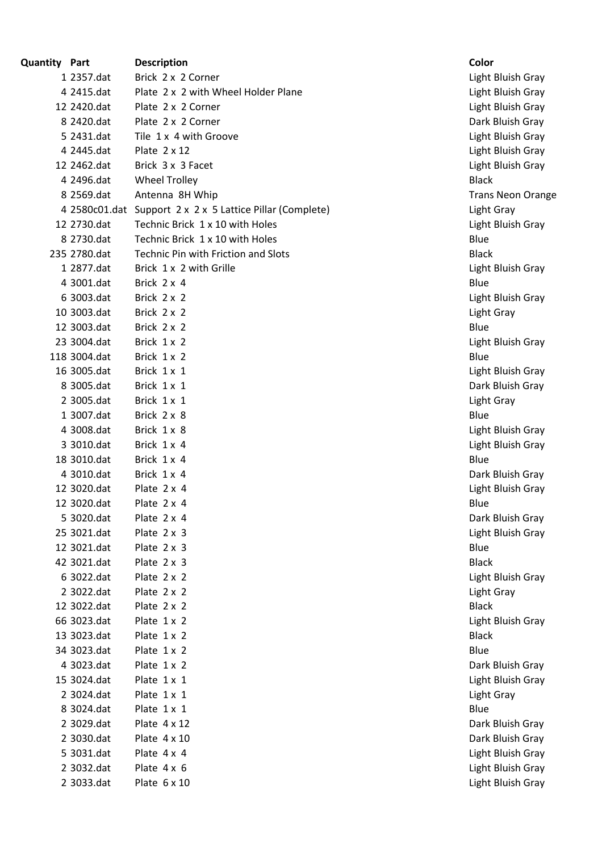| <b>Quantity Part</b> |              | <b>Description</b>                                        | Color              |
|----------------------|--------------|-----------------------------------------------------------|--------------------|
|                      | 1 2357.dat   | Brick 2 x 2 Corner                                        | Light Bluis        |
|                      | 4 2415.dat   | Plate 2 x 2 with Wheel Holder Plane                       | <b>Light Bluis</b> |
|                      | 12 2420.dat  | Plate 2 x 2 Corner                                        | <b>Light Bluis</b> |
|                      | 8 2420.dat   | Plate 2 x 2 Corner                                        | Dark Bluis         |
|                      | 5 2431.dat   | Tile 1 x 4 with Groove                                    | <b>Light Bluis</b> |
|                      | 4 2445.dat   | Plate 2 x 12                                              | Light Bluis        |
|                      | 12 2462.dat  | Brick 3 x 3 Facet                                         | <b>Light Bluis</b> |
|                      | 4 2496.dat   | <b>Wheel Trolley</b>                                      | <b>Black</b>       |
|                      | 8 2569.dat   | Antenna 8H Whip                                           | <b>Trans Neo</b>   |
|                      |              | 4 2580c01.dat Support 2 x 2 x 5 Lattice Pillar (Complete) | Light Gray         |
|                      | 12 2730.dat  | Technic Brick 1 x 10 with Holes                           | <b>Light Bluis</b> |
|                      | 8 2730.dat   | Technic Brick 1 x 10 with Holes                           | Blue               |
|                      | 235 2780.dat | Technic Pin with Friction and Slots                       | <b>Black</b>       |
|                      | 1 2877.dat   | Brick 1 x 2 with Grille                                   | Light Bluis        |
|                      | 4 3001.dat   | Brick 2 x 4                                               | Blue               |
|                      | 6 3003.dat   | Brick 2 x 2                                               | <b>Light Bluis</b> |
|                      | 10 3003.dat  | Brick 2 x 2                                               | Light Gray         |
|                      | 12 3003.dat  | Brick 2 x 2                                               | Blue               |
|                      | 23 3004.dat  | Brick 1 x 2                                               | Light Bluis        |
|                      | 118 3004.dat | Brick 1 x 2                                               | Blue               |
|                      | 16 3005.dat  | Brick 1 x 1                                               | <b>Light Bluis</b> |
|                      | 8 3005.dat   | Brick 1 x 1                                               | Dark Bluis         |
|                      | 2 3005.dat   | Brick 1 x 1                                               | Light Gray         |
|                      | 1 3007.dat   | Brick 2 x 8                                               | Blue               |
|                      | 4 3008.dat   | Brick 1 x 8                                               | <b>Light Bluis</b> |
|                      | 3 3010.dat   | Brick 1 x 4                                               | <b>Light Bluis</b> |
|                      | 18 3010.dat  | Brick 1 x 4                                               | Blue               |
|                      | 4 3010.dat   | Brick 1 x 4                                               | Dark Bluis         |
|                      | 12 3020.dat  | Plate 2 x 4                                               | <b>Light Bluis</b> |
|                      | 12 3020.dat  | Plate $2 \times 4$                                        | Blue               |
|                      | 5 3020.dat   | Plate 2 x 4                                               | Dark Bluis         |
|                      | 25 3021.dat  | Plate 2 x 3                                               | <b>Light Bluis</b> |
|                      | 12 3021.dat  | Plate 2 x 3                                               | Blue               |
|                      | 42 3021.dat  | Plate 2 x 3                                               | <b>Black</b>       |
|                      | 6 3022.dat   | Plate 2 x 2                                               | <b>Light Bluis</b> |
|                      | 2 3022.dat   | Plate 2 x 2                                               | Light Gray         |
|                      | 12 3022.dat  | Plate 2 x 2                                               | <b>Black</b>       |
|                      | 66 3023.dat  | Plate 1 x 2                                               | <b>Light Bluis</b> |
|                      | 13 3023.dat  | Plate 1 x 2                                               | <b>Black</b>       |
|                      | 34 3023.dat  | Plate 1 x 2                                               | Blue               |
|                      | 4 3023.dat   | Plate 1 x 2                                               | Dark Bluis         |
|                      | 15 3024.dat  | Plate 1 x 1                                               | <b>Light Bluis</b> |
|                      | 2 3024.dat   | Plate 1 x 1                                               | Light Gray         |
|                      | 8 3024.dat   | Plate 1 x 1                                               | Blue               |
|                      | 2 3029.dat   | Plate 4 x 12                                              | Dark Bluis         |
|                      | 2 3030.dat   | Plate 4 x 10                                              | Dark Bluis         |
|                      | 5 3031.dat   | Plate 4 x 4                                               | <b>Light Bluis</b> |
|                      | 2 3032.dat   | Plate 4 x 6                                               | <b>Light Bluis</b> |
|                      | 2 3033.dat   | Plate 6 x 10                                              | <b>Light Bluis</b> |

## Light Bluish Gray Light Bluish Gray Light Bluish Gray Dark Bluish Gray Light Bluish Gray Light Bluish Gray Light Bluish Gray Trans Neon Orange Light Bluish Gray Light Bluish Gray Light Bluish Gray Light Bluish Gray Light Bluish Gray Dark Bluish Gray Light Bluish Gray Light Bluish Gray Dark Bluish Gray Light Bluish Gray Dark Bluish Gray Light Bluish Gray Light Bluish Gray Light Bluish Gray Dark Bluish Gray Light Bluish Gray Dark Bluish Gray Dark Bluish Gray Light Bluish Gray Light Bluish Gray Light Bluish Gray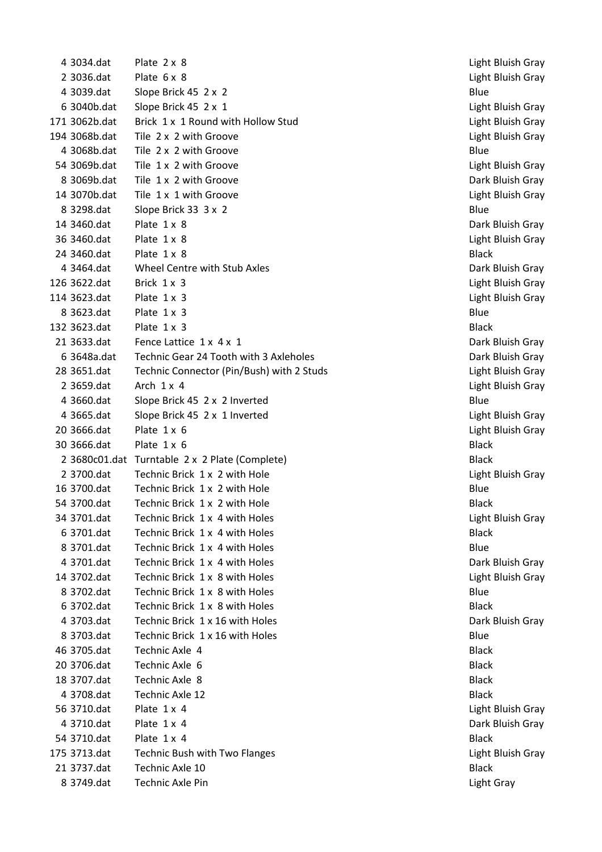4 3034.dat Plate 2 x 8 Light Bluish Gray 2 3036.dat Plate 6 x 8 Light Bluish Gray 4 3039.dat Slope Brick 45 2 x 2 Blue 6 3040b.dat Slope Brick 45 2 x 1 Light Bluish Gray 171 3062b.dat Brick 1 x 1 Round with Hollow Stud Light Bluish Gray 194 3068b.dat Tile 2 x 2 with Groove Light Bluish Gray 4 3068b.dat Tile 2 x 2 with Groove Blue 54 3069b.dat Tile 1 x 2 with Groove Light Bluish Gray 8 3069b.dat Tile 1 x 2 with Groove by Dark Bluish Gray 14 3070b.dat Tile 1 x 1 with Groove 12 and 12 and 14 3070b.dat Tile 1 x 1 with Groove 8 3298.dat Slope Brick 33 3 x 2 Blue 14 3460.dat Plate 1 x 8 Dark Bluish Gray 36 3460.dat Plate 1 x 8 Light Bluish Gray  $24\,3460.\text{dat}$  Plate  $1\times 8$  Black 4 3464.dat University Wheel Centre with Stub Axles Dark Bluish Gray Dark Bluish Gray 126 3622.dat Brick 1 x 3 Light Bluish Gray 114 3623.dat Plate 1 x 3 Light Bluish Gray  $8\,3623.$ dat Plate  $1 \times 3$ 132 3623.dat Plate 1 x 3 Black 21 3633.dat Fence Lattice 1 x 4 x 1 Dark Bluish Gray 6 3648a.dat Technic Gear 24 Tooth with 3 Axleholes Dark Bluish Gray 28 3651.dat Technic Connector (Pin/Bush) with 2 Studs Light Bluish Gray Light Bluish Gray 2 3659.dat Arch 1 x 4 Light Bluish Gray 4 3660.dat Slope Brick 45 2 x 2 Inverted Blue 4 3665.dat Slope Brick 45 2 x 1 Inverted Light Bluish Gray 20 3666.dat Plate 1 x 6 Light Bluish Gray 30 3666.dat Plate 1 x 6 Black 2 3680c01.dat Turntable 2 x 2 Plate (Complete) Black 2 3700.dat Technic Brick 1 x 2 with Hole Light Bluish Gray Light Bluish Gray 16 3700.dat Technic Brick 1 x 2 with Hole Blue Blue Blue 54 3700.dat Technic Brick 1 x 2 with Hole Black 34 3701.dat Technic Brick 1 x 4 with Holes Light Bluish Gray 6 3701.dat Technic Brick 1 x 4 with Holes Black 8 3701.dat Technic Brick 1 x 4 with Holes Blue 4 3701.dat Technic Brick 1 x 4 with Holes Dark Bluish Gray 14 3702.dat Technic Brick 1 x 8 with Holes Light Bluish Gray 8 3702.dat Technic Brick 1 x 8 with Holes Blue Blue 6 3702.dat Technic Brick 1 x 8 with Holes Black 4 3703.dat Technic Brick 1 x 16 with Holes Dark Bluish Gray 8 3703.dat Technic Brick 1 x 16 with Holes Blue 46 3705.dat Technic Axle 4 Black 20 3706.dat Technic Axle 6 Black Control of the Black 18 3707.dat Technic Axle 8 Black 4 3708.dat Technic Axle 12 Black 56 3710.dat Plate 1 x 4 Light Bluish Gray 4 3710.dat Plate 1 x 4 Dark Bluish Gray 54 3710.dat Plate 1 x 4 Black 175 3713.dat Technic Bush with Two Flanges Light Bluish Gray Light Bluish Gray 21 3737.dat Technic Axle 10 Black 8 3749.dat Technic Axle Pin Light Gray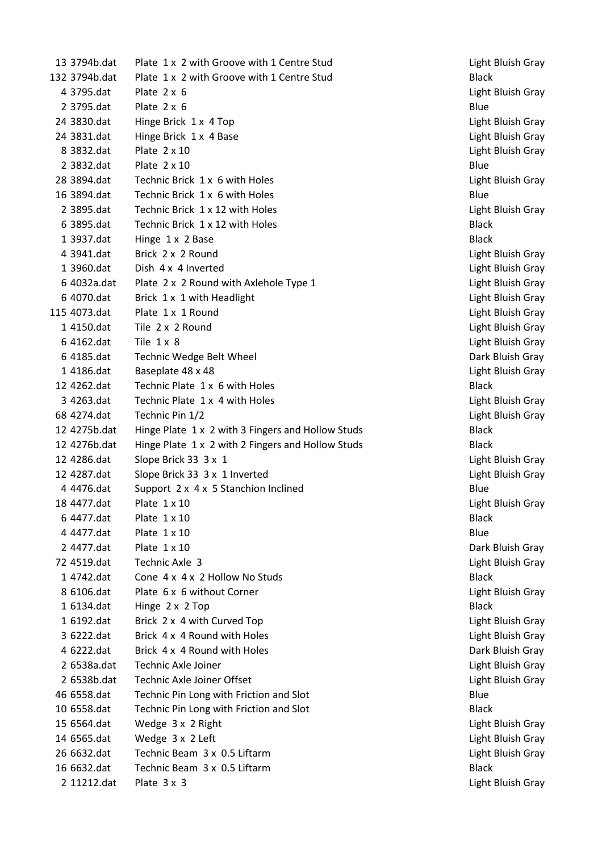13 3794b.dat Plate 1 x 2 with Groove with 1 Centre Stud Light Bluish Gray 132 3794b.dat Plate 1 x 2 with Groove with 1 Centre Stud Black 4 3795.dat Plate 2 x 6 Light Bluish Gray  $2\,3795.\text{dat}$  Plate  $2\times 6$ 24 3830.dat Hinge Brick 1 x 4 Top Light Bluish Gray 24 3831.dat Hinge Brick 1 x 4 Base Light Bluish Gray 8 3832.dat Plate 2 x 10 and 2 and 2 and 2 and 2 and 2 and 2 and 2 and 2 and 2 and 2 and 2 and 2 and 2 and 2 and 2 and 2 and 2 and 2 and 2 and 2 and 2 and 2 and 2 and 2 and 2 and 2 and 2 and 2 and 2 and 2 and 2 and 2 and 2  $2\,3832$ .dat Plate  $2 \times 10$ 28 3894.dat Technic Brick 1 x 6 with Holes Light Bluish Gray 16 3894.dat Technic Brick 1 x 6 with Holes Blue 2 3895.dat Technic Brick 1 x 12 with Holes Light Bluish Gray 6 3895.dat Technic Brick 1 x 12 with Holes Black 1 3937.dat Hinge 1 x 2 Base Black 4 3941.dat Brick 2 x 2 Round Light Bluish Gray 1 3960.dat Light Bluish 4 x 4 Inverted Light Bluish Gray 6 4032a.dat Plate 2 x 2 Round with Axlehole Type 1 Light Bluish Gray 6 4070.dat Brick 1 x 1 with Headlight Light Bluish Gray 115 4073.dat Plate 1 x 1 Round Light Bluish Gray 1 4150.dat Tile 2 x 2 Round Light Bluish Gray 6 4162.dat Tile 1 x 8 Light Bluish Gray 6 4185.dat Technic Wedge Belt Wheel **East Constructed Bluish Gray** Dark Bluish Gray 1 4186.dat Baseplate 48 x 48 Light Bluish Gray 12 4262.dat Technic Plate 1 x 6 with Holes Black 3 4263.dat Technic Plate 1 x 4 with Holes Light Bluish Gray 68 4274.dat Technic Pin 1/2 Light Bluish Gray 12 4275b.dat Hinge Plate 1 x 2 with 3 Fingers and Hollow Studs Black 12 4276b.dat Hinge Plate 1 x 2 with 2 Fingers and Hollow Studs Black 12 4286.dat Slope Brick 33 3 x 1 Light Bluish Gray 12 4287.dat Slope Brick 33 3 x 1 Inverted Light Bluish Gray 4 4476.dat Support 2 x 4 x 5 Stanchion Inclined Blue 18 4477.dat Plate 1 x 10 20 December 18 4477.dat Plate 1 x 10 6 4477.dat Plate 1 x 10 Black 4 4477.dat Plate 1 x 10 Blue 2 4477.dat Plate 1 x 10 Dark Bluish Gray 72 4519.dat Technic Axle 3 Light Bluish Gray 1 4742.dat Cone 4 x 4 x 2 Hollow No Studs Black 8 6106.dat Plate 6 x 6 without Corner Light Bluish Gray 1 6134.dat Hinge 2 x 2 Top Black 1 6192.dat Brick 2 x 4 with Curved Top Light Bluish Gray 3 6222.dat Brick 4 x 4 Round with Holes Light Bluish Gray 4 6222.dat Brick 4 x 4 Round with Holes Dark Bluish Gray 2 6538a.dat Technic Axle Joiner Light Bluish Gray 2 6538b.dat Technic Axle Joiner Offset Light Bluish Gray 46 6558.dat Technic Pin Long with Friction and Slot Blue 10 6558.dat Technic Pin Long with Friction and Slot **Black** Black 15 6564.dat Wedge 3 x 2 Right Light Bluish Gray 14 6565.dat Wedge 3 x 2 Left Light Bluish Gray 26 6632.dat Technic Beam 3 x 0.5 Liftarm Light Bluish Gray 16 6632.dat Technic Beam 3 x 0.5 Liftarm Black 2 11212.dat Plate 3 x 3 Light Bluish Gray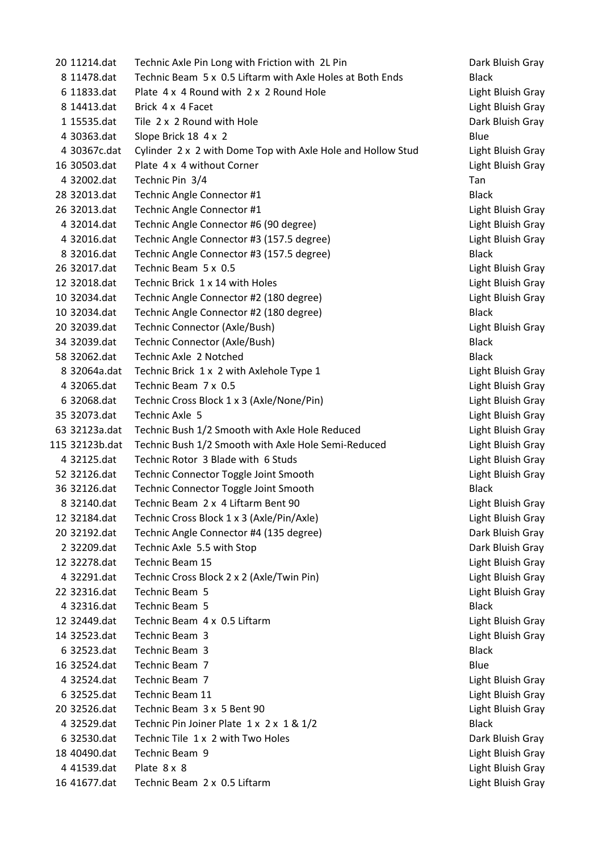20 11214.dat Technic Axle Pin Long with Friction with 2L Pin Dark Bluish Gray 8 11478.dat Technic Beam 5 x 0.5 Liftarm with Axle Holes at Both Ends Black 11833.dat Plate 4 x 4 Round with 2 x 2 Round Hole Light Bluish Gray 8 14413.dat Brick 4 x 4 Facet Light Bluish Gray 1 15535.dat Tile 2 x 2 Round with Hole Dark Bluish Gray Dark Bluish Gray 4 30363.dat Slope Brick 18 4 x 2 Blue 30367c.dat Cylinder 2 x 2 with Dome Top with Axle Hole and Hollow Stud Light Bluish Gray 16 30503.dat Plate 4 x 4 without Corner Light Bluish Gray 4 32002.dat Technic Pin 3/4 Tan 28 32013.dat Technic Angle Connector #1 Black 32013.dat Technic Angle Connector #1 Light Bluish Gray 32014.dat Technic Angle Connector #6 (90 degree) Light Bluish Gray 32016.dat Technic Angle Connector #3 (157.5 degree) Light Bluish Gray 32016.dat Technic Angle Connector #3 (157.5 degree) Black 32017.dat Technic Beam 5 x 0.5 Light Bluish Gray 12 32018.dat Technic Brick 1 x 14 with Holes Light Bluish Gray 32034.dat Technic Angle Connector #2 (180 degree) Light Bluish Gray 32034.dat Technic Angle Connector #2 (180 degree) Black 32039.dat Technic Connector (Axle/Bush) Light Bluish Gray 32039.dat Technic Connector (Axle/Bush) Black 58 32062.dat Technic Axle 2 Notched Black Black 8 32064a.dat Technic Brick 1 x 2 with Axlehole Type 1 Light Bluish Gray 32065.dat Technic Beam 7 x 0.5 Light Bluish Gray 32068.dat Technic Cross Block 1 x 3 (Axle/None/Pin) Light Bluish Gray 32073.dat Technic Axle 5 Light Bluish Gray 32123a.dat Technic Bush 1/2 Smooth with Axle Hole Reduced Light Bluish Gray 32123b.dat Technic Bush 1/2 Smooth with Axle Hole Semi-Reduced Light Bluish Gray 32125.dat Technic Rotor 3 Blade with 6 Studs Light Bluish Gray 32126.dat Technic Connector Toggle Joint Smooth Light Bluish Gray 32126.dat Technic Connector Toggle Joint Smooth Black 8 32140.dat Technic Beam 2 x 4 Liftarm Bent 90 Light Bluish Gray 32184.dat Technic Cross Block 1 x 3 (Axle/Pin/Axle) Light Bluish Gray 20 32192.dat Technic Angle Connector #4 (135 degree) Dark Bluish Gray 2 32209.dat Technic Axle 5.5 with Stop Dark Bluish Gray Dark Bluish Gray 32278.dat Technic Beam 15 Light Bluish Gray 32291.dat Technic Cross Block 2 x 2 (Axle/Twin Pin) Light Bluish Gray 22 32316.dat Technic Beam 5 Light Bluish Gray 4 32316.dat Technic Beam 5 Black 32449.dat Technic Beam 4 x 0.5 Liftarm Light Bluish Gray 32523.dat Technic Beam 3 Light Bluish Gray 32523.dat Technic Beam 3 Black 32524.dat Technic Beam 7 Blue 32524.dat Technic Beam 7 Light Bluish Gray 6 32525.dat Technic Beam 11 **State Bluish Gray** Light Bluish Gray 32526.dat Technic Beam 3 x 5 Bent 90 Light Bluish Gray 32529.dat Technic Pin Joiner Plate 1 x 2 x 1 & 1/2 Black 6 32530.dat Technic Tile 1 x 2 with Two Holes Dark Bluish Gray 40490.dat Technic Beam 9 Light Bluish Gray 41539.dat Plate 8 x 8 Light Bluish Gray 16 41677.dat Technic Beam 2 x 0.5 Liftarm Light Bluish Gray